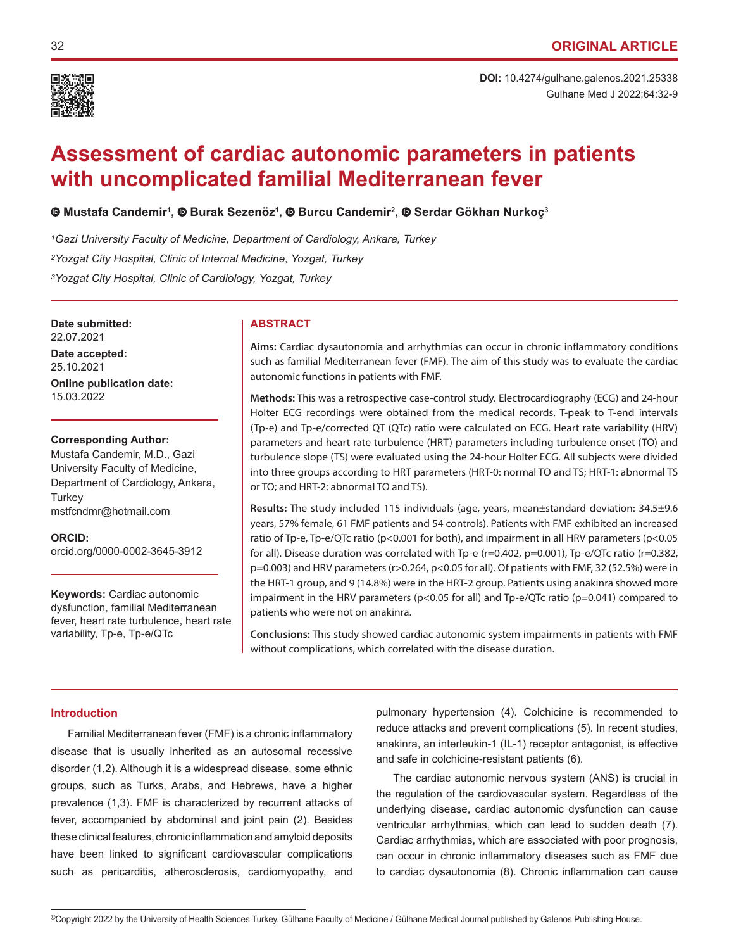

Gulhane Med J 2022;64:32-9 **DOI:** 10.4274/gulhane.galenos.2021.25338

# **Assessment of cardiac autonomic parameters in patients with uncomplicated familial Mediterranean fever**

# **Mustafa Candemir1 ,Burak Sezenöz<sup>1</sup> , Burcu Candemir2 , Serdar Gökhan Nurkoç<sup>3</sup>**

*1Gazi University Faculty of Medicine, Department of Cardiology, Ankara, Turkey 2Yozgat City Hospital, Clinic of Internal Medicine, Yozgat, Turkey 3Yozgat City Hospital, Clinic of Cardiology, Yozgat, Turkey*

**Date submitted: ABSTRACT** 22.07.2021

**Date accepted:** 25.10.2021

**Online publication date:** 15.03.2022

#### **Corresponding Author:**

Mustafa Candemir, M.D., Gazi University Faculty of Medicine, Department of Cardiology, Ankara, **Turkey** mstfcndmr@hotmail.com

**ORCID:**  orcid.org/0000-0002-3645-3912

**Keywords:** Cardiac autonomic dysfunction, familial Mediterranean fever, heart rate turbulence, heart rate variability, Tp-e, Tp-e/QTc

**Aims:** Cardiac dysautonomia and arrhythmias can occur in chronic inflammatory conditions such as familial Mediterranean fever (FMF). The aim of this study was to evaluate the cardiac autonomic functions in patients with FMF.

**Methods:** This was a retrospective case-control study. Electrocardiography (ECG) and 24-hour Holter ECG recordings were obtained from the medical records. T-peak to T-end intervals (Tp-e) and Tp-e/corrected QT (QTc) ratio were calculated on ECG. Heart rate variability (HRV) parameters and heart rate turbulence (HRT) parameters including turbulence onset (TO) and turbulence slope (TS) were evaluated using the 24-hour Holter ECG. All subjects were divided into three groups according to HRT parameters (HRT-0: normal TO and TS; HRT-1: abnormal TS or TO; and HRT-2: abnormal TO and TS).

**Results:** The study included 115 individuals (age, years, mean±standard deviation: 34.5±9.6 years, 57% female, 61 FMF patients and 54 controls). Patients with FMF exhibited an increased ratio of Tp-e, Tp-e/QTc ratio (p<0.001 for both), and impairment in all HRV parameters (p<0.05 for all). Disease duration was correlated with Tp-e (r=0.402, p=0.001), Tp-e/QTc ratio (r=0.382, p=0.003) and HRV parameters (r>0.264, p<0.05 for all). Of patients with FMF, 32 (52.5%) were in the HRT-1 group, and 9 (14.8%) were in the HRT-2 group. Patients using anakinra showed more impairment in the HRV parameters (p<0.05 for all) and Tp-e/QTc ratio (p=0.041) compared to patients who were not on anakinra.

**Conclusions:** This study showed cardiac autonomic system impairments in patients with FMF without complications, which correlated with the disease duration.

# **Introduction**

Familial Mediterranean fever (FMF) is a chronic inflammatory disease that is usually inherited as an autosomal recessive disorder (1,2). Although it is a widespread disease, some ethnic groups, such as Turks, Arabs, and Hebrews, have a higher prevalence (1,3). FMF is characterized by recurrent attacks of fever, accompanied by abdominal and joint pain (2). Besides these clinical features, chronic inflammation and amyloid deposits have been linked to significant cardiovascular complications such as pericarditis, atherosclerosis, cardiomyopathy, and

pulmonary hypertension (4). Colchicine is recommended to reduce attacks and prevent complications (5). In recent studies, anakinra, an interleukin-1 (IL-1) receptor antagonist, is effective and safe in colchicine-resistant patients (6).

The cardiac autonomic nervous system (ANS) is crucial in the regulation of the cardiovascular system. Regardless of the underlying disease, cardiac autonomic dysfunction can cause ventricular arrhythmias, which can lead to sudden death (7). Cardiac arrhythmias, which are associated with poor prognosis, can occur in chronic inflammatory diseases such as FMF due to cardiac dysautonomia (8). Chronic inflammation can cause

<sup>©</sup>Copyright 2022 by the University of Health Sciences Turkey, Gülhane Faculty of Medicine / Gülhane Medical Journal published by Galenos Publishing House.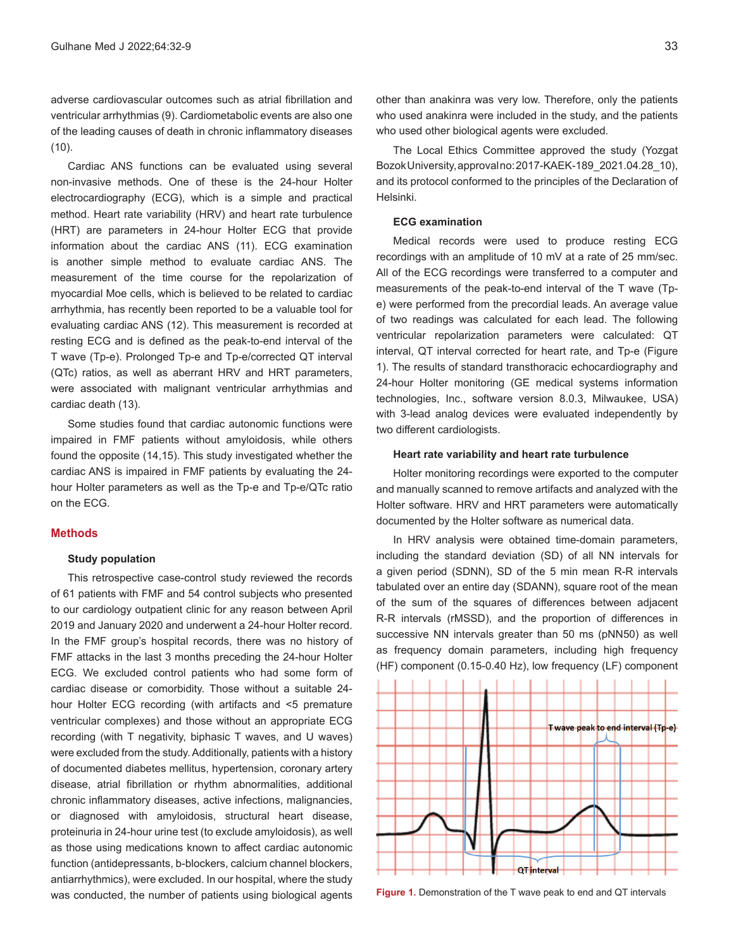adverse cardiovascular outcomes such as atrial fibrillation and ventricular arrhythmias (9). Cardiometabolic events are also one of the leading causes of death in chronic inflammatory diseases  $(10).$ 

Cardiac ANS functions can be evaluated using several non-invasive methods. One of these is the 24-hour Holter electrocardiography (ECG), which is a simple and practical method. Heart rate variability (HRV) and heart rate turbulence (HRT) are parameters in 24-hour Holter ECG that provide information about the cardiac ANS (11). ECG examination is another simple method to evaluate cardiac ANS. The measurement of the time course for the repolarization of myocardial Moe cells, which is believed to be related to cardiac arrhythmia, has recently been reported to be a valuable tool for evaluating cardiac ANS (12). This measurement is recorded at resting ECG and is defined as the peak-to-end interval of the T wave (Tp-e). Prolonged Tp-e and Tp-e/corrected QT interval (QTc) ratios, as well as aberrant HRV and HRT parameters, were associated with malignant ventricular arrhythmias and cardiac death (13).

Some studies found that cardiac autonomic functions were impaired in FMF patients without amyloidosis, while others found the opposite (14,15). This study investigated whether the cardiac ANS is impaired in FMF patients by evaluating the 24 hour Holter parameters as well as the Tp-e and Tp-e/QTc ratio on the ECG.

## **Methods**

#### **Study population**

This retrospective case-control study reviewed the records of 61 patients with FMF and 54 control subjects who presented to our cardiology outpatient clinic for any reason between April 2019 and January 2020 and underwent a 24-hour Holter record. In the FMF group's hospital records, there was no history of FMF attacks in the last 3 months preceding the 24-hour Holter ECG. We excluded control patients who had some form of cardiac disease or comorbidity. Those without a suitable 24 hour Holter ECG recording (with artifacts and <5 premature ventricular complexes) and those without an appropriate ECG recording (with T negativity, biphasic T waves, and U waves) were excluded from the study. Additionally, patients with a history of documented diabetes mellitus, hypertension, coronary artery disease, atrial fibrillation or rhythm abnormalities, additional chronic inflammatory diseases, active infections, malignancies, or diagnosed with amyloidosis, structural heart disease, proteinuria in 24-hour urine test (to exclude amyloidosis), as well as those using medications known to affect cardiac autonomic function (antidepressants, b-blockers, calcium channel blockers, antiarrhythmics), were excluded. In our hospital, where the study was conducted, the number of patients using biological agents

other than anakinra was very low. Therefore, only the patients who used anakinra were included in the study, and the patients who used other biological agents were excluded.

The Local Ethics Committee approved the study (Yozgat Bozok University, approval no: 2017-KAEK-189\_2021.04.28\_10), and its protocol conformed to the principles of the Declaration of Helsinki.

# **ECG examination**

Medical records were used to produce resting ECG recordings with an amplitude of 10 mV at a rate of 25 mm/sec. All of the ECG recordings were transferred to a computer and measurements of the peak-to-end interval of the T wave (Tpe) were performed from the precordial leads. An average value of two readings was calculated for each lead. The following ventricular repolarization parameters were calculated: QT interval, QT interval corrected for heart rate, and Tp-e (Figure 1). The results of standard transthoracic echocardiography and 24-hour Holter monitoring (GE medical systems information technologies, Inc., software version 8.0.3, Milwaukee, USA) with 3-lead analog devices were evaluated independently by two different cardiologists.

#### **Heart rate variability and heart rate turbulence**

Holter monitoring recordings were exported to the computer and manually scanned to remove artifacts and analyzed with the Holter software. HRV and HRT parameters were automatically documented by the Holter software as numerical data.

In HRV analysis were obtained time-domain parameters, including the standard deviation (SD) of all NN intervals for a given period (SDNN), SD of the 5 min mean R-R intervals tabulated over an entire day (SDANN), square root of the mean of the sum of the squares of differences between adjacent R-R intervals (rMSSD), and the proportion of differences in successive NN intervals greater than 50 ms (pNN50) as well as frequency domain parameters, including high frequency (HF) component (0.15-0.40 Hz), low frequency (LF) component



**Figure 1.** Demonstration of the T wave peak to end and QT intervals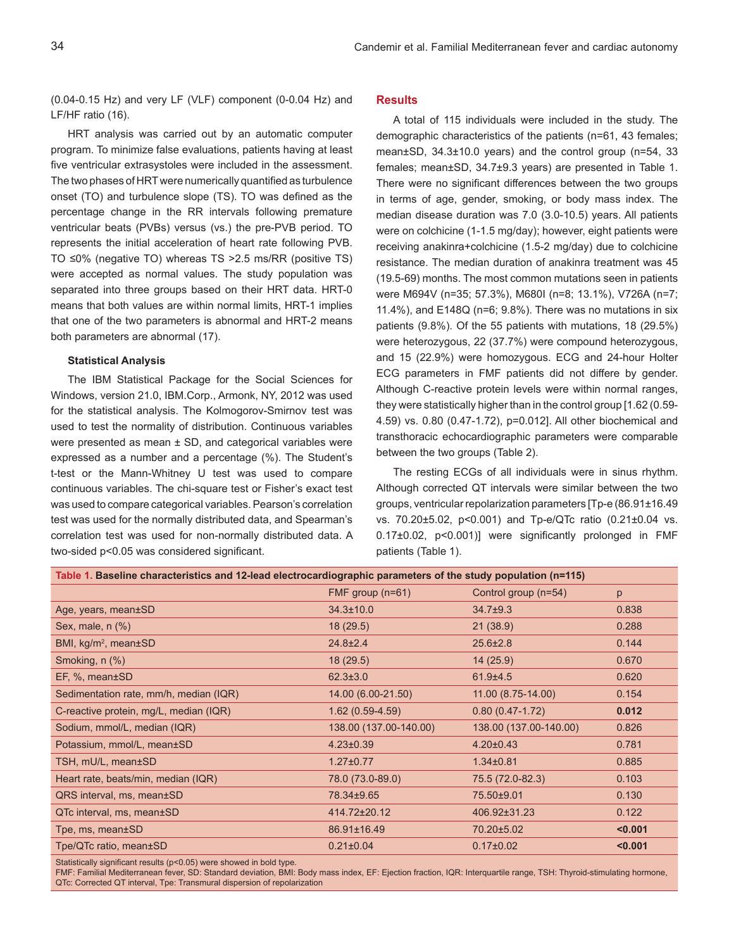(0.04-0.15 Hz) and very LF (VLF) component (0-0.04 Hz) and LF/HF ratio (16).

HRT analysis was carried out by an automatic computer program. To minimize false evaluations, patients having at least five ventricular extrasystoles were included in the assessment. The two phases of HRT were numerically quantified as turbulence onset (TO) and turbulence slope (TS). TO was defined as the percentage change in the RR intervals following premature ventricular beats (PVBs) versus (vs.) the pre-PVB period. TO represents the initial acceleration of heart rate following PVB. TO ≤0% (negative TO) whereas TS >2.5 ms/RR (positive TS) were accepted as normal values. The study population was separated into three groups based on their HRT data. HRT-0 means that both values are within normal limits, HRT-1 implies that one of the two parameters is abnormal and HRT-2 means both parameters are abnormal (17).

#### **Statistical Analysis**

The IBM Statistical Package for the Social Sciences for Windows, version 21.0, IBM.Corp., Armonk, NY, 2012 was used for the statistical analysis. The Kolmogorov-Smirnov test was used to test the normality of distribution. Continuous variables were presented as mean  $\pm$  SD, and categorical variables were expressed as a number and a percentage (%). The Student's t-test or the Mann-Whitney U test was used to compare continuous variables. The chi-square test or Fisher's exact test was used to compare categorical variables. Pearson's correlation test was used for the normally distributed data, and Spearman's correlation test was used for non-normally distributed data. A two-sided p<0.05 was considered significant.

### **Results**

A total of 115 individuals were included in the study. The demographic characteristics of the patients (n=61, 43 females; mean±SD, 34.3±10.0 years) and the control group (n=54, 33 females; mean±SD, 34.7±9.3 years) are presented in Table 1. There were no significant differences between the two groups in terms of age, gender, smoking, or body mass index. The median disease duration was 7.0 (3.0-10.5) years. All patients were on colchicine (1-1.5 mg/day); however, eight patients were receiving anakinra+colchicine (1.5-2 mg/day) due to colchicine resistance. The median duration of anakinra treatment was 45 (19.5-69) months. The most common mutations seen in patients were M694V (n=35; 57.3%), M680I (n=8; 13.1%), V726A (n=7; 11.4%), and E148Q (n=6; 9.8%). There was no mutations in six patients (9.8%). Of the 55 patients with mutations, 18 (29.5%) were heterozygous, 22 (37.7%) were compound heterozygous, and 15 (22.9%) were homozygous. ECG and 24-hour Holter ECG parameters in FMF patients did not differe by gender. Although C-reactive protein levels were within normal ranges, they were statistically higher than in the control group [1.62 (0.59- 4.59) vs. 0.80 (0.47-1.72), p=0.012]. All other biochemical and transthoracic echocardiographic parameters were comparable between the two groups (Table 2).

The resting ECGs of all individuals were in sinus rhythm. Although corrected QT intervals were similar between the two groups, ventricular repolarization parameters [Tp-e (86.91±16.49 vs. 70.20±5.02, p<0.001) and Tp-e/QTc ratio (0.21±0.04 vs. 0.17±0.02, p<0.001)] were significantly prolonged in FMF patients (Table 1).

| Table 1. Baseline characteristics and 12-lead electrocardiographic parameters of the study population (n=115) |                        |         |  |  |  |  |
|---------------------------------------------------------------------------------------------------------------|------------------------|---------|--|--|--|--|
| FMF group $(n=61)$                                                                                            | Control group (n=54)   | p       |  |  |  |  |
| $34.3 \pm 10.0$                                                                                               | $34.7 \pm 9.3$         | 0.838   |  |  |  |  |
| 18(29.5)                                                                                                      | 21(38.9)               | 0.288   |  |  |  |  |
| $24.8 \pm 2.4$                                                                                                | $25.6 \pm 2.8$         | 0.144   |  |  |  |  |
| 18(29.5)                                                                                                      | 14(25.9)               | 0.670   |  |  |  |  |
| $62.3 \pm 3.0$                                                                                                | $61.9 + 4.5$           | 0.620   |  |  |  |  |
| 14.00 (6.00-21.50)                                                                                            | 11.00 (8.75-14.00)     | 0.154   |  |  |  |  |
| $1.62(0.59-4.59)$                                                                                             | $0.80(0.47-1.72)$      | 0.012   |  |  |  |  |
| 138.00 (137.00-140.00)                                                                                        | 138.00 (137.00-140.00) | 0.826   |  |  |  |  |
| $4.23 \pm 0.39$                                                                                               | $4.20 \pm 0.43$        | 0.781   |  |  |  |  |
| $1.27 \pm 0.77$                                                                                               | $1.34 \pm 0.81$        | 0.885   |  |  |  |  |
| 78.0 (73.0-89.0)                                                                                              | 75.5 (72.0-82.3)       | 0.103   |  |  |  |  |
| 78.34±9.65                                                                                                    | 75.50±9.01             | 0.130   |  |  |  |  |
| 414.72±20.12                                                                                                  | 406.92±31.23           | 0.122   |  |  |  |  |
| 86.91±16.49                                                                                                   | 70.20±5.02             | < 0.001 |  |  |  |  |
| $0.21 \pm 0.04$                                                                                               | $0.17 \pm 0.02$        | < 0.001 |  |  |  |  |
|                                                                                                               |                        |         |  |  |  |  |

Statistically significant results (p<0.05) were showed in bold type.

FMF: Familial Mediterranean fever, SD: Standard deviation, BMI: Body mass index, EF: Ejection fraction, IQR: Interquartile range, TSH: Thyroid-stimulating hormone, QTc: Corrected QT interval, Tpe: Transmural dispersion of repolarization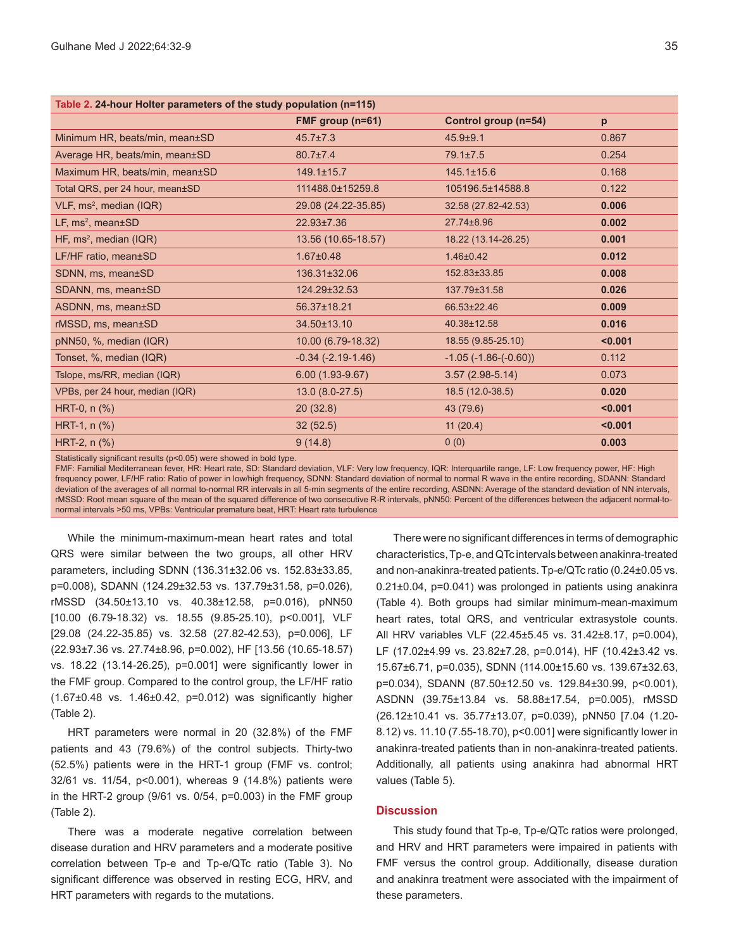| Table 2. 24-hour Holter parameters of the study population (n=115) |                        |                               |         |  |  |
|--------------------------------------------------------------------|------------------------|-------------------------------|---------|--|--|
|                                                                    | FMF group $(n=61)$     | Control group (n=54)          | p       |  |  |
| Minimum HR, beats/min, mean±SD                                     | $45.7 \pm 7.3$         | $45.9 + 9.1$                  | 0.867   |  |  |
| Average HR, beats/min, mean±SD                                     | $80.7 \pm 7.4$         | $79.1 \pm 7.5$                | 0.254   |  |  |
| Maximum HR, beats/min, mean±SD                                     | $149.1 \pm 15.7$       | $145.1 \pm 15.6$              | 0.168   |  |  |
| Total QRS, per 24 hour, mean±SD                                    | 111488.0±15259.8       | 105196.5±14588.8              | 0.122   |  |  |
| VLF, ms <sup>2</sup> , median (IQR)                                | 29.08 (24.22-35.85)    | 32.58 (27.82-42.53)           | 0.006   |  |  |
| LF, $ms^2$ , mean $\pm$ SD                                         | 22.93±7.36             | 27.74±8.96                    | 0.002   |  |  |
| HF, ms <sup>2</sup> , median (IQR)                                 | 13.56 (10.65-18.57)    | 18.22 (13.14-26.25)           | 0.001   |  |  |
| LF/HF ratio, mean±SD                                               | $1.67 \pm 0.48$        | $1.46 \pm 0.42$               | 0.012   |  |  |
| SDNN, ms, mean±SD                                                  | 136.31±32.06           | 152.83±33.85                  | 0.008   |  |  |
| SDANN, ms, mean±SD                                                 | 124.29±32.53           | 137.79±31.58                  | 0.026   |  |  |
| ASDNN, ms, mean±SD                                                 | 56.37±18.21            | 66.53±22.46                   | 0.009   |  |  |
| rMSSD, ms, mean±SD                                                 | 34.50±13.10            | 40.38±12.58                   | 0.016   |  |  |
| pNN50, %, median (IQR)                                             | 10.00 (6.79-18.32)     | 18.55 (9.85-25.10)            | < 0.001 |  |  |
| Tonset, %, median (IQR)                                            | $-0.34$ $(-2.19-1.46)$ | $-1.05$ ( $-1.86$ $(-0.60)$ ) | 0.112   |  |  |
| Tslope, ms/RR, median (IQR)                                        | $6.00(1.93-9.67)$      | $3.57(2.98-5.14)$             | 0.073   |  |  |
| VPBs, per 24 hour, median (IQR)                                    | 13.0 (8.0-27.5)        | 18.5 (12.0-38.5)              | 0.020   |  |  |
| HRT-0, n (%)                                                       | 20(32.8)               | 43 (79.6)                     | < 0.001 |  |  |
| HRT-1, $n$ $%$                                                     | 32(52.5)               | 11(20.4)                      | < 0.001 |  |  |
| HRT-2, $n$ $%$                                                     | 9(14.8)                | 0(0)                          | 0.003   |  |  |
|                                                                    |                        |                               |         |  |  |

Statistically significant results (p<0.05) were showed in bold type.

FMF: Familial Mediterranean fever, HR: Heart rate, SD: Standard deviation, VLF: Very low frequency, IQR: Interquartile range, LF: Low frequency power, HF: High frequency power, LF/HF ratio: Ratio of power in low/high frequency, SDNN: Standard deviation of normal to normal R wave in the entire recording, SDANN: Standard deviation of the averages of all normal to-normal RR intervals in all 5-min segments of the entire recording, ASDNN: Average of the standard deviation of NN intervals, rMSSD: Root mean square of the mean of the squared difference of two consecutive R-R intervals, pNN50: Percent of the differences between the adjacent normal-tonormal intervals >50 ms, VPBs: Ventricular premature beat, HRT: Heart rate turbulence

While the minimum-maximum-mean heart rates and total QRS were similar between the two groups, all other HRV parameters, including SDNN (136.31±32.06 vs. 152.83±33.85, p=0.008), SDANN (124.29±32.53 vs. 137.79±31.58, p=0.026), rMSSD (34.50±13.10 vs. 40.38±12.58, p=0.016), pNN50 [10.00 (6.79-18.32) vs. 18.55 (9.85-25.10), p<0.001], VLF [29.08 (24.22-35.85) vs. 32.58 (27.82-42.53), p=0.006], LF (22.93±7.36 vs. 27.74±8.96, p=0.002), HF [13.56 (10.65-18.57) vs. 18.22 (13.14-26.25), p=0.001] were significantly lower in the FMF group. Compared to the control group, the LF/HF ratio (1.67±0.48 vs. 1.46±0.42, p=0.012) was significantly higher (Table 2).

HRT parameters were normal in 20 (32.8%) of the FMF patients and 43 (79.6%) of the control subjects. Thirty-two (52.5%) patients were in the HRT-1 group (FMF vs. control; 32/61 vs. 11/54, p<0.001), whereas 9 (14.8%) patients were in the HRT-2 group (9/61 vs. 0/54, p=0.003) in the FMF group (Table 2).

There was a moderate negative correlation between disease duration and HRV parameters and a moderate positive correlation between Tp-e and Tp-e/QTc ratio (Table 3). No significant difference was observed in resting ECG, HRV, and HRT parameters with regards to the mutations.

There were no significant differences in terms of demographic characteristics, Tp-e, and QTc intervals between anakinra-treated and non-anakinra-treated patients. Tp-e/QTc ratio (0.24±0.05 vs. 0.21±0.04, p=0.041) was prolonged in patients using anakinra (Table 4). Both groups had similar minimum-mean-maximum heart rates, total QRS, and ventricular extrasystole counts. All HRV variables VLF (22.45±5.45 vs. 31.42±8.17, p=0.004), LF (17.02±4.99 vs. 23.82±7.28, p=0.014), HF (10.42±3.42 vs. 15.67±6.71, p=0.035), SDNN (114.00±15.60 vs. 139.67±32.63, p=0.034), SDANN (87.50±12.50 vs. 129.84±30.99, p<0.001), ASDNN (39.75±13.84 vs. 58.88±17.54, p=0.005), rMSSD (26.12±10.41 vs. 35.77±13.07, p=0.039), pNN50 [7.04 (1.20- 8.12) vs. 11.10 (7.55-18.70), p<0.001] were significantly lower in anakinra-treated patients than in non-anakinra-treated patients. Additionally, all patients using anakinra had abnormal HRT values (Table 5).

# **Discussion**

This study found that Tp-e, Tp-e/QTc ratios were prolonged, and HRV and HRT parameters were impaired in patients with FMF versus the control group. Additionally, disease duration and anakinra treatment were associated with the impairment of these parameters.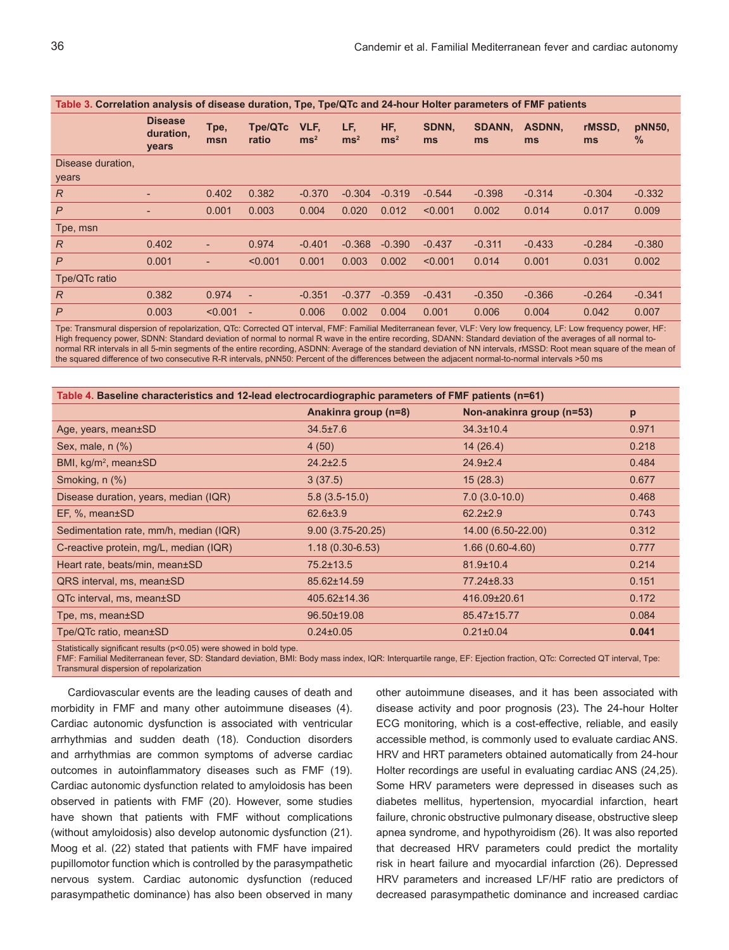| Table 3. Correlation analysis of disease duration, Tpe, Tpe/QTc and 24-hour Holter parameters of FMF patients |                                      |                          |                          |                       |                      |                      |             |                     |              |              |                |
|---------------------------------------------------------------------------------------------------------------|--------------------------------------|--------------------------|--------------------------|-----------------------|----------------------|----------------------|-------------|---------------------|--------------|--------------|----------------|
|                                                                                                               | <b>Disease</b><br>duration,<br>years | Tpe,<br>msn              | <b>Tpe/QTc</b><br>ratio  | VLF.<br>$\text{ms}^2$ | LF,<br>$\text{ms}^2$ | HF,<br>$\text{ms}^2$ | SDNN.<br>ms | <b>SDANN.</b><br>ms | ASDNN,<br>ms | rMSSD.<br>ms | pNN50,<br>$\%$ |
| Disease duration,<br>years                                                                                    |                                      |                          |                          |                       |                      |                      |             |                     |              |              |                |
| $\overline{R}$                                                                                                | ٠                                    | 0.402                    | 0.382                    | $-0.370$              | $-0.304$             | $-0.319$             | $-0.544$    | $-0.398$            | $-0.314$     | $-0.304$     | $-0.332$       |
| $\mathsf{P}$                                                                                                  | ٠                                    | 0.001                    | 0.003                    | 0.004                 | 0.020                | 0.012                | < 0.001     | 0.002               | 0.014        | 0.017        | 0.009          |
| Tpe, msn                                                                                                      |                                      |                          |                          |                       |                      |                      |             |                     |              |              |                |
| $\overline{R}$                                                                                                | 0.402                                | $\overline{\phantom{a}}$ | 0.974                    | $-0.401$              | $-0.368$             | $-0.390$             | $-0.437$    | $-0.311$            | $-0.433$     | $-0.284$     | $-0.380$       |
| $\mathsf{P}$                                                                                                  | 0.001                                | $\overline{\phantom{a}}$ | < 0.001                  | 0.001                 | 0.003                | 0.002                | < 0.001     | 0.014               | 0.001        | 0.031        | 0.002          |
| Tpe/QTc ratio                                                                                                 |                                      |                          |                          |                       |                      |                      |             |                     |              |              |                |
| R                                                                                                             | 0.382                                | 0.974                    | ÷,                       | $-0.351$              | $-0.377$             | $-0.359$             | $-0.431$    | $-0.350$            | $-0.366$     | $-0.264$     | $-0.341$       |
| $\mathsf{P}$                                                                                                  | 0.003                                | < 0.001                  | $\overline{\phantom{a}}$ | 0.006                 | 0.002                | 0.004                | 0.001       | 0.006               | 0.004        | 0.042        | 0.007          |

Tpe: Transmural dispersion of repolarization, QTc: Corrected QT interval, FMF: Familial Mediterranean fever, VLF: Very low frequency, LF: Low frequency power, HF: High frequency power, SDNN: Standard deviation of normal to normal R wave in the entire recording, SDANN: Standard deviation of the averages of all normal tonormal RR intervals in all 5-min segments of the entire recording, ASDNN: Average of the standard deviation of NN intervals, rMSSD: Root mean square of the mean of the squared difference of two consecutive R-R intervals, pNN50: Percent of the differences between the adjacent normal-to-normal intervals >50 ms

| Table 4. Baseline characteristics and 12-lead electrocardiographic parameters of FMF patients (n=61) |                      |                           |       |  |  |
|------------------------------------------------------------------------------------------------------|----------------------|---------------------------|-------|--|--|
|                                                                                                      | Anakinra group (n=8) | Non-anakinra group (n=53) | p     |  |  |
| Age, years, mean±SD                                                                                  | $34.5 \pm 7.6$       | $34.3 \pm 10.4$           | 0.971 |  |  |
| Sex, male, $n$ $%$                                                                                   | 4(50)                | 14(26.4)                  | 0.218 |  |  |
| BMI, $kg/m^2$ , mean $\pm$ SD                                                                        | $24.2 \pm 2.5$       | $24.9 \pm 2.4$            | 0.484 |  |  |
| Smoking, n (%)                                                                                       | 3(37.5)              | 15(28.3)                  | 0.677 |  |  |
| Disease duration, years, median (IQR)                                                                | $5.8(3.5-15.0)$      | $7.0(3.0-10.0)$           | 0.468 |  |  |
| $EF, %$ , mean $\pm$ SD                                                                              | $62.6 \pm 3.9$       | $62.2 \pm 2.9$            | 0.743 |  |  |
| Sedimentation rate, mm/h, median (IQR)                                                               | $9.00(3.75-20.25)$   | 14.00 (6.50-22.00)        | 0.312 |  |  |
| C-reactive protein, mg/L, median (IQR)                                                               | $1.18(0.30-6.53)$    | $1.66(0.60-4.60)$         | 0.777 |  |  |
| Heart rate, beats/min, mean±SD                                                                       | $75.2 \pm 13.5$      | $81.9 \pm 10.4$           | 0.214 |  |  |
| QRS interval, ms, mean±SD                                                                            | 85.62±14.59          | 77.24±8.33                | 0.151 |  |  |
| QTc interval, ms, mean±SD                                                                            | 405.62±14.36         | 416.09±20.61              | 0.172 |  |  |
| Tpe, ms, mean±SD                                                                                     | 96.50±19.08          | 85.47±15.77               | 0.084 |  |  |
| Tpe/QTc ratio, mean±SD                                                                               | $0.24 \pm 0.05$      | $0.21 \pm 0.04$           | 0.041 |  |  |
|                                                                                                      |                      |                           |       |  |  |

Statistically significant results (p<0.05) were showed in bold type.

FMF: Familial Mediterranean fever, SD: Standard deviation, BMI: Body mass index, IQR: Interquartile range, EF: Ejection fraction, QTc: Corrected QT interval, Tpe: Transmural dispersion of repolarization

Cardiovascular events are the leading causes of death and morbidity in FMF and many other autoimmune diseases (4). Cardiac autonomic dysfunction is associated with ventricular arrhythmias and sudden death (18). Conduction disorders and arrhythmias are common symptoms of adverse cardiac outcomes in autoinflammatory diseases such as FMF (19). Cardiac autonomic dysfunction related to amyloidosis has been observed in patients with FMF (20). However, some studies have shown that patients with FMF without complications (without amyloidosis) also develop autonomic dysfunction (21). Moog et al. (22) stated that patients with FMF have impaired pupillomotor function which is controlled by the parasympathetic nervous system. Cardiac autonomic dysfunction (reduced parasympathetic dominance) has also been observed in many

other autoimmune diseases, and it has been associated with disease activity and poor prognosis (23)**.** The 24-hour Holter ECG monitoring, which is a cost-effective, reliable, and easily accessible method, is commonly used to evaluate cardiac ANS. HRV and HRT parameters obtained automatically from 24-hour Holter recordings are useful in evaluating cardiac ANS (24,25). Some HRV parameters were depressed in diseases such as diabetes mellitus, hypertension, myocardial infarction, heart failure, chronic obstructive pulmonary disease, obstructive sleep apnea syndrome, and hypothyroidism (26). It was also reported that decreased HRV parameters could predict the mortality risk in heart failure and myocardial infarction (26). Depressed HRV parameters and increased LF/HF ratio are predictors of decreased parasympathetic dominance and increased cardiac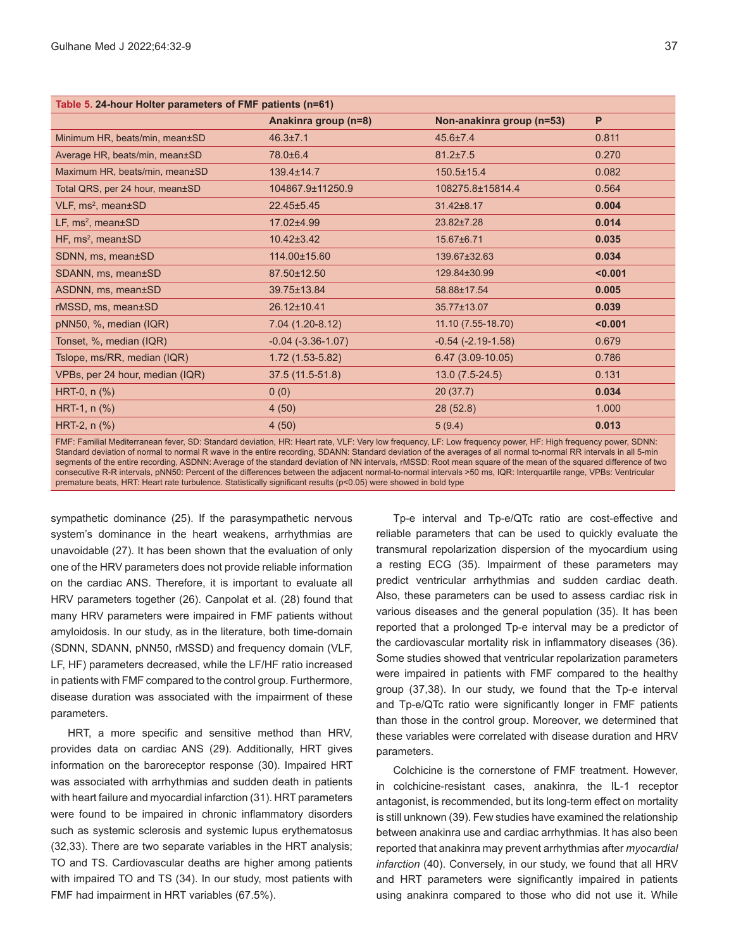| Table 5. 24-hour Holter parameters of FMF patients (n=61) |                          |                           |         |  |  |
|-----------------------------------------------------------|--------------------------|---------------------------|---------|--|--|
|                                                           | Anakinra group (n=8)     | Non-anakinra group (n=53) | P       |  |  |
| Minimum HR, beats/min, mean±SD                            | $46.3{\pm}7.1$           | $45.6 \pm 7.4$            | 0.811   |  |  |
| Average HR, beats/min, mean±SD                            | 78.0±6.4                 | $81.2 \pm 7.5$            | 0.270   |  |  |
| Maximum HR, beats/min, mean±SD                            | $139.4 \pm 14.7$         | $150.5 \pm 15.4$          | 0.082   |  |  |
| Total QRS, per 24 hour, mean±SD                           | 104867.9±11250.9         | 108275.8±15814.4          | 0.564   |  |  |
| VLF, ms <sup>2</sup> , mean±SD                            | $22.45 \pm 5.45$         | 31.42±8.17                | 0.004   |  |  |
| $LF, ms2, mean \pm SD$                                    | 17.02±4.99               | 23.82±7.28                | 0.014   |  |  |
| HF, ms <sup>2</sup> , mean±SD                             | $10.42 \pm 3.42$         | 15.67±6.71                | 0.035   |  |  |
| SDNN, ms, mean±SD                                         | 114.00±15.60             | 139.67±32.63              | 0.034   |  |  |
| SDANN, ms, mean±SD                                        | 87.50±12.50              | 129.84±30.99              | < 0.001 |  |  |
| ASDNN, ms, mean±SD                                        | 39.75±13.84              | 58.88±17.54               | 0.005   |  |  |
| rMSSD, ms, mean±SD                                        | 26.12±10.41              | 35.77±13.07               | 0.039   |  |  |
| pNN50, %, median (IQR)                                    | $7.04(1.20-8.12)$        | 11.10 (7.55-18.70)        | < 0.001 |  |  |
| Tonset, %, median (IQR)                                   | $-0.04$ $(-3.36 - 1.07)$ | $-0.54$ $(-2.19-1.58)$    | 0.679   |  |  |
| Tslope, ms/RR, median (IQR)                               | $1.72(1.53-5.82)$        | 6.47 (3.09-10.05)         | 0.786   |  |  |
| VPBs, per 24 hour, median (IQR)                           | 37.5 (11.5-51.8)         | $13.0(7.5-24.5)$          | 0.131   |  |  |
| HRT-0, $n$ $%$ )                                          | 0(0)                     | 20(37.7)                  | 0.034   |  |  |
| HRT-1, $n$ $%$ )                                          | 4(50)                    | 28(52.8)                  | 1.000   |  |  |
| HRT-2, $n$ $%$                                            | 4(50)                    | 5(9.4)                    | 0.013   |  |  |

FMF: Familial Mediterranean fever, SD: Standard deviation, HR: Heart rate, VLF: Very low frequency, LF: Low frequency power, HF: High frequency power, SDNN: Standard deviation of normal to normal R wave in the entire recording, SDANN: Standard deviation of the averages of all normal to-normal RR intervals in all 5-min segments of the entire recording, ASDNN: Average of the standard deviation of NN intervals, rMSSD: Root mean square of the mean of the squared difference of two consecutive R-R intervals, pNN50: Percent of the differences between the adjacent normal-to-normal intervals >50 ms, IQR: Interquartile range, VPBs: Ventricular premature beats, HRT: Heart rate turbulence. Statistically significant results (p<0.05) were showed in bold type

sympathetic dominance (25). If the parasympathetic nervous system's dominance in the heart weakens, arrhythmias are unavoidable (27). It has been shown that the evaluation of only one of the HRV parameters does not provide reliable information on the cardiac ANS. Therefore, it is important to evaluate all HRV parameters together (26). Canpolat et al. (28) found that many HRV parameters were impaired in FMF patients without amyloidosis. In our study, as in the literature, both time-domain (SDNN, SDANN, pNN50, rMSSD) and frequency domain (VLF, LF, HF) parameters decreased, while the LF/HF ratio increased in patients with FMF compared to the control group. Furthermore, disease duration was associated with the impairment of these parameters.

HRT, a more specific and sensitive method than HRV, provides data on cardiac ANS (29). Additionally, HRT gives information on the baroreceptor response (30). Impaired HRT was associated with arrhythmias and sudden death in patients with heart failure and myocardial infarction (31). HRT parameters were found to be impaired in chronic inflammatory disorders such as systemic sclerosis and systemic lupus erythematosus (32,33). There are two separate variables in the HRT analysis; TO and TS. Cardiovascular deaths are higher among patients with impaired TO and TS (34). In our study, most patients with FMF had impairment in HRT variables (67.5%).

Tp-e interval and Tp-e/QTc ratio are cost-effective and reliable parameters that can be used to quickly evaluate the transmural repolarization dispersion of the myocardium using a resting ECG (35). Impairment of these parameters may predict ventricular arrhythmias and sudden cardiac death. Also, these parameters can be used to assess cardiac risk in various diseases and the general population (35). It has been reported that a prolonged Tp-e interval may be a predictor of the cardiovascular mortality risk in inflammatory diseases (36). Some studies showed that ventricular repolarization parameters were impaired in patients with FMF compared to the healthy group (37,38). In our study, we found that the Tp-e interval and Tp-e/QTc ratio were significantly longer in FMF patients than those in the control group. Moreover, we determined that these variables were correlated with disease duration and HRV parameters.

Colchicine is the cornerstone of FMF treatment. However, in colchicine-resistant cases, anakinra, the IL-1 receptor antagonist, is recommended, but its long-term effect on mortality is still unknown (39). Few studies have examined the relationship between anakinra use and cardiac arrhythmias. It has also been reported that anakinra may prevent arrhythmias after *myocardial infarction* (40). Conversely, in our study, we found that all HRV and HRT parameters were significantly impaired in patients using anakinra compared to those who did not use it. While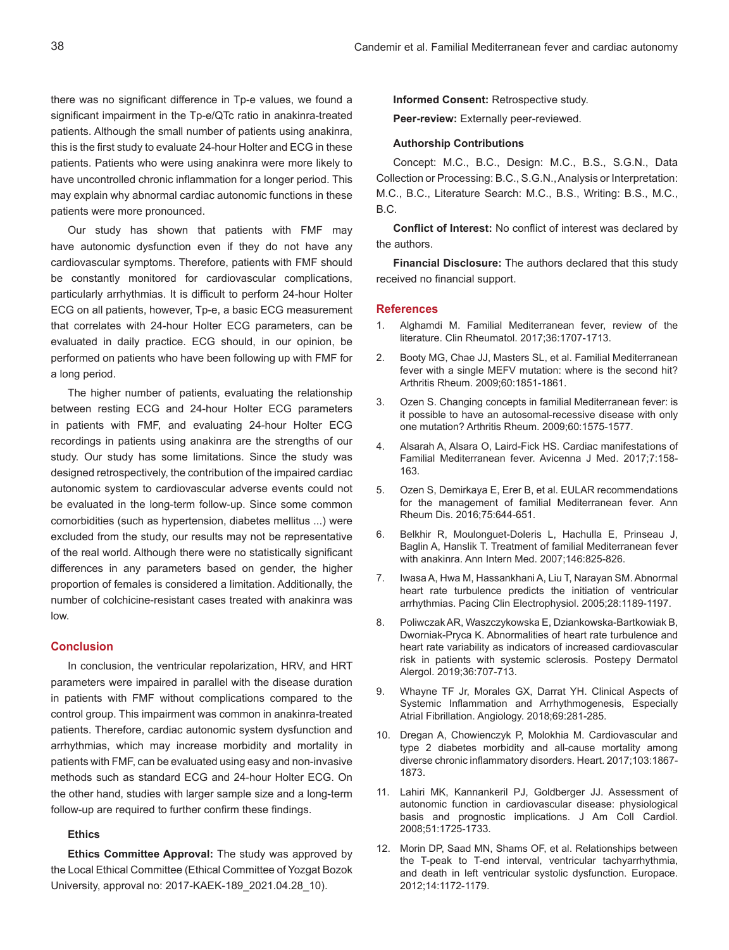there was no significant difference in Tp-e values, we found a significant impairment in the Tp-e/QTc ratio in anakinra-treated patients. Although the small number of patients using anakinra, this is the first study to evaluate 24-hour Holter and ECG in these patients. Patients who were using anakinra were more likely to have uncontrolled chronic inflammation for a longer period. This may explain why abnormal cardiac autonomic functions in these patients were more pronounced.

Our study has shown that patients with FMF may have autonomic dysfunction even if they do not have any cardiovascular symptoms. Therefore, patients with FMF should be constantly monitored for cardiovascular complications, particularly arrhythmias. It is difficult to perform 24-hour Holter ECG on all patients, however, Tp-e, a basic ECG measurement that correlates with 24-hour Holter ECG parameters, can be evaluated in daily practice. ECG should, in our opinion, be performed on patients who have been following up with FMF for a long period.

The higher number of patients, evaluating the relationship between resting ECG and 24-hour Holter ECG parameters in patients with FMF, and evaluating 24-hour Holter ECG recordings in patients using anakinra are the strengths of our study. Our study has some limitations. Since the study was designed retrospectively, the contribution of the impaired cardiac autonomic system to cardiovascular adverse events could not be evaluated in the long-term follow-up. Since some common comorbidities (such as hypertension, diabetes mellitus ...) were excluded from the study, our results may not be representative of the real world. Although there were no statistically significant differences in any parameters based on gender, the higher proportion of females is considered a limitation. Additionally, the number of colchicine-resistant cases treated with anakinra was low.

# **Conclusion**

In conclusion, the ventricular repolarization, HRV, and HRT parameters were impaired in parallel with the disease duration in patients with FMF without complications compared to the control group. This impairment was common in anakinra-treated patients. Therefore, cardiac autonomic system dysfunction and arrhythmias, which may increase morbidity and mortality in patients with FMF, can be evaluated using easy and non-invasive methods such as standard ECG and 24-hour Holter ECG. On the other hand, studies with larger sample size and a long-term follow-up are required to further confirm these findings.

# **Ethics**

**Ethics Committee Approval:** The study was approved by the Local Ethical Committee (Ethical Committee of Yozgat Bozok University, approval no: 2017-KAEK-189\_2021.04.28\_10).

**Informed Consent:** Retrospective study.

**Peer-review:** Externally peer-reviewed.

#### **Authorship Contributions**

Concept: M.C., B.C., Design: M.C., B.S., S.G.N., Data Collection or Processing: B.C., S.G.N., Analysis or Interpretation: M.C., B.C., Literature Search: M.C., B.S., Writing: B.S., M.C., B.C.

**Conflict of Interest:** No conflict of interest was declared by the authors.

**Financial Disclosure:** The authors declared that this study received no financial support.

#### **References**

- 1. Alghamdi M. Familial Mediterranean fever, review of the literature. Clin Rheumatol. 2017;36:1707-1713.
- 2. Booty MG, Chae JJ, Masters SL, et al. Familial Mediterranean fever with a single MEFV mutation: where is the second hit? Arthritis Rheum. 2009;60:1851-1861.
- 3. Ozen S. Changing concepts in familial Mediterranean fever: is it possible to have an autosomal-recessive disease with only one mutation? Arthritis Rheum. 2009;60:1575-1577.
- 4. Alsarah A, Alsara O, Laird-Fick HS. Cardiac manifestations of Familial Mediterranean fever. Avicenna J Med. 2017;7:158- 163.
- 5. Ozen S, Demirkaya E, Erer B, et al. EULAR recommendations for the management of familial Mediterranean fever. Ann Rheum Dis. 2016;75:644-651.
- 6. Belkhir R, Moulonguet-Doleris L, Hachulla E, Prinseau J, Baglin A, Hanslik T. Treatment of familial Mediterranean fever with anakinra. Ann Intern Med. 2007;146:825-826.
- 7. Iwasa A, Hwa M, Hassankhani A, Liu T, Narayan SM. Abnormal heart rate turbulence predicts the initiation of ventricular arrhythmias. Pacing Clin Electrophysiol. 2005;28:1189-1197.
- 8. Poliwczak AR, Waszczykowska E, Dziankowska-Bartkowiak B, Dworniak-Pryca K. Abnormalities of heart rate turbulence and heart rate variability as indicators of increased cardiovascular risk in patients with systemic sclerosis. Postepy Dermatol Alergol. 2019;36:707-713.
- 9. Whayne TF Jr, Morales GX, Darrat YH. Clinical Aspects of Systemic Inflammation and Arrhythmogenesis, Especially Atrial Fibrillation. Angiology. 2018;69:281-285.
- 10. Dregan A, Chowienczyk P, Molokhia M. Cardiovascular and type 2 diabetes morbidity and all-cause mortality among diverse chronic inflammatory disorders. Heart. 2017;103:1867- 1873.
- 11. Lahiri MK, Kannankeril PJ, Goldberger JJ. Assessment of autonomic function in cardiovascular disease: physiological basis and prognostic implications. J Am Coll Cardiol. 2008;51:1725-1733.
- 12. Morin DP, Saad MN, Shams OF, et al. Relationships between the T-peak to T-end interval, ventricular tachyarrhythmia, and death in left ventricular systolic dysfunction. Europace. 2012;14:1172-1179.